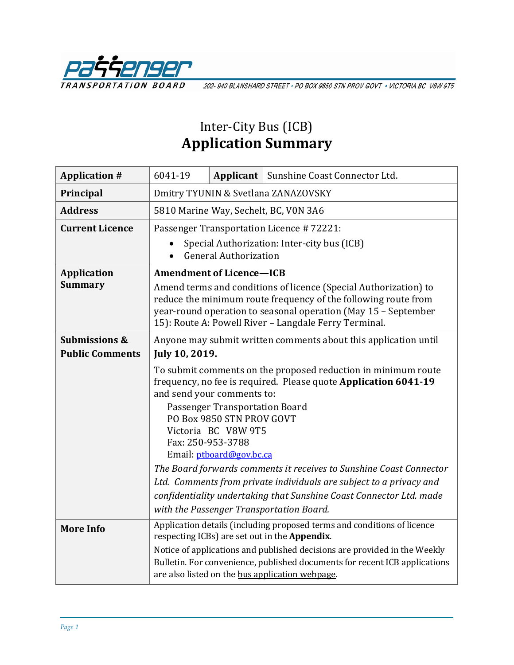

202-940 BLANSHARD STREET · PO BOX 9850 STN PROV GOVT · VICTORIA BC V8W 9T5

## Inter-City Bus (ICB) **Application Summary**

| <b>Application #</b>                 | 6041-19                                                                                                                                                                                                                                                                                                                                                                                                                                                                                                                                                                |  | Applicant   Sunshine Coast Connector Ltd. |  |  |
|--------------------------------------|------------------------------------------------------------------------------------------------------------------------------------------------------------------------------------------------------------------------------------------------------------------------------------------------------------------------------------------------------------------------------------------------------------------------------------------------------------------------------------------------------------------------------------------------------------------------|--|-------------------------------------------|--|--|
| Principal                            | Dmitry TYUNIN & Svetlana ZANAZOVSKY                                                                                                                                                                                                                                                                                                                                                                                                                                                                                                                                    |  |                                           |  |  |
| <b>Address</b>                       | 5810 Marine Way, Sechelt, BC, V0N 3A6                                                                                                                                                                                                                                                                                                                                                                                                                                                                                                                                  |  |                                           |  |  |
| <b>Current Licence</b>               | Passenger Transportation Licence #72221:<br>Special Authorization: Inter-city bus (ICB)<br><b>General Authorization</b>                                                                                                                                                                                                                                                                                                                                                                                                                                                |  |                                           |  |  |
| <b>Application</b><br><b>Summary</b> | <b>Amendment of Licence-ICB</b><br>Amend terms and conditions of licence (Special Authorization) to<br>reduce the minimum route frequency of the following route from<br>year-round operation to seasonal operation (May 15 - September<br>15): Route A: Powell River - Langdale Ferry Terminal.                                                                                                                                                                                                                                                                       |  |                                           |  |  |
| <b>Submissions &amp;</b>             | Anyone may submit written comments about this application until                                                                                                                                                                                                                                                                                                                                                                                                                                                                                                        |  |                                           |  |  |
| <b>Public Comments</b>               | July 10, 2019.                                                                                                                                                                                                                                                                                                                                                                                                                                                                                                                                                         |  |                                           |  |  |
|                                      | To submit comments on the proposed reduction in minimum route<br>frequency, no fee is required. Please quote Application 6041-19<br>and send your comments to:<br>Passenger Transportation Board<br>PO Box 9850 STN PROV GOVT<br>Victoria BC V8W 9T5<br>Fax: 250-953-3788<br>Email: ptboard@gov.bc.ca<br>The Board forwards comments it receives to Sunshine Coast Connector<br>Ltd. Comments from private individuals are subject to a privacy and<br>confidentiality undertaking that Sunshine Coast Connector Ltd. made<br>with the Passenger Transportation Board. |  |                                           |  |  |
| <b>More Info</b>                     | Application details (including proposed terms and conditions of licence<br>respecting ICBs) are set out in the Appendix.<br>Notice of applications and published decisions are provided in the Weekly<br>Bulletin. For convenience, published documents for recent ICB applications<br>are also listed on the bus application webpage.                                                                                                                                                                                                                                 |  |                                           |  |  |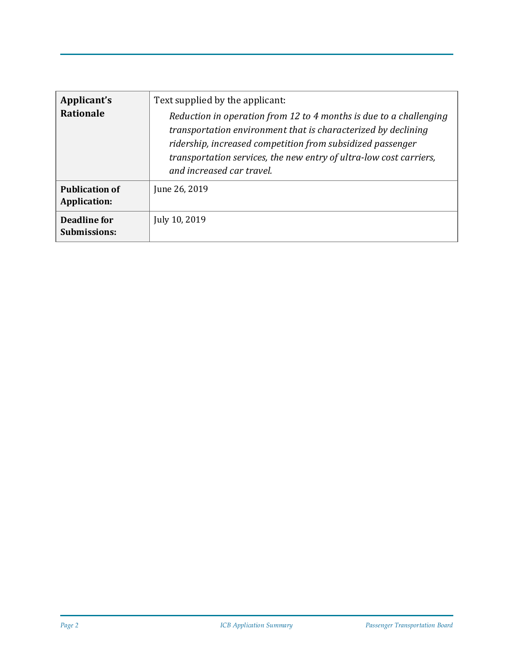| Applicant's<br><b>Rationale</b>       | Text supplied by the applicant:<br>Reduction in operation from 12 to 4 months is due to a challenging<br>transportation environment that is characterized by declining<br>ridership, increased competition from subsidized passenger<br>transportation services, the new entry of ultra-low cost carriers,<br>and increased car travel. |
|---------------------------------------|-----------------------------------------------------------------------------------------------------------------------------------------------------------------------------------------------------------------------------------------------------------------------------------------------------------------------------------------|
| <b>Publication of</b><br>Application: | June 26, 2019                                                                                                                                                                                                                                                                                                                           |
| Deadline for<br><b>Submissions:</b>   | July 10, 2019                                                                                                                                                                                                                                                                                                                           |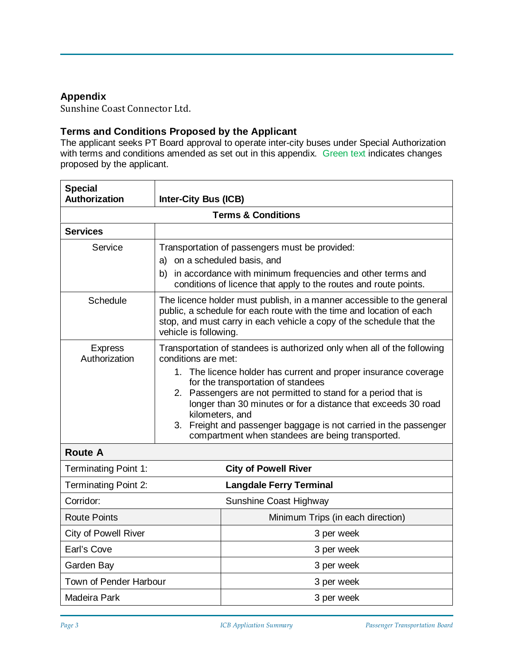## **Appendix**

Sunshine Coast Connector Ltd.

## **Terms and Conditions Proposed by the Applicant**

The applicant seeks PT Board approval to operate inter-city buses under Special Authorization with terms and conditions amended as set out in this appendix. Green text indicates changes proposed by the applicant.

| <b>Special</b><br><b>Authorization</b>              | <b>Inter-City Bus (ICB)</b>                                                                                                                                                                                                                                                                                                                                                                                                                                                             |                                   |  |  |  |  |
|-----------------------------------------------------|-----------------------------------------------------------------------------------------------------------------------------------------------------------------------------------------------------------------------------------------------------------------------------------------------------------------------------------------------------------------------------------------------------------------------------------------------------------------------------------------|-----------------------------------|--|--|--|--|
| <b>Terms &amp; Conditions</b>                       |                                                                                                                                                                                                                                                                                                                                                                                                                                                                                         |                                   |  |  |  |  |
| <b>Services</b>                                     |                                                                                                                                                                                                                                                                                                                                                                                                                                                                                         |                                   |  |  |  |  |
| Service                                             | Transportation of passengers must be provided:<br>a) on a scheduled basis, and<br>b) in accordance with minimum frequencies and other terms and<br>conditions of licence that apply to the routes and route points.                                                                                                                                                                                                                                                                     |                                   |  |  |  |  |
| Schedule                                            | The licence holder must publish, in a manner accessible to the general<br>public, a schedule for each route with the time and location of each<br>stop, and must carry in each vehicle a copy of the schedule that the<br>vehicle is following.                                                                                                                                                                                                                                         |                                   |  |  |  |  |
| <b>Express</b><br>Authorization                     | Transportation of standees is authorized only when all of the following<br>conditions are met:<br>1. The licence holder has current and proper insurance coverage<br>for the transportation of standees<br>2. Passengers are not permitted to stand for a period that is<br>longer than 30 minutes or for a distance that exceeds 30 road<br>kilometers, and<br>Freight and passenger baggage is not carried in the passenger<br>3.<br>compartment when standees are being transported. |                                   |  |  |  |  |
| <b>Route A</b>                                      |                                                                                                                                                                                                                                                                                                                                                                                                                                                                                         |                                   |  |  |  |  |
| Terminating Point 1:<br><b>City of Powell River</b> |                                                                                                                                                                                                                                                                                                                                                                                                                                                                                         |                                   |  |  |  |  |
| Terminating Point 2:                                | <b>Langdale Ferry Terminal</b>                                                                                                                                                                                                                                                                                                                                                                                                                                                          |                                   |  |  |  |  |
| Corridor:                                           | Sunshine Coast Highway                                                                                                                                                                                                                                                                                                                                                                                                                                                                  |                                   |  |  |  |  |
| <b>Route Points</b>                                 |                                                                                                                                                                                                                                                                                                                                                                                                                                                                                         | Minimum Trips (in each direction) |  |  |  |  |
| <b>City of Powell River</b>                         |                                                                                                                                                                                                                                                                                                                                                                                                                                                                                         | 3 per week                        |  |  |  |  |
| Earl's Cove                                         |                                                                                                                                                                                                                                                                                                                                                                                                                                                                                         | 3 per week                        |  |  |  |  |
| Garden Bay                                          |                                                                                                                                                                                                                                                                                                                                                                                                                                                                                         | 3 per week                        |  |  |  |  |
| Town of Pender Harbour                              |                                                                                                                                                                                                                                                                                                                                                                                                                                                                                         | 3 per week                        |  |  |  |  |
| Madeira Park                                        |                                                                                                                                                                                                                                                                                                                                                                                                                                                                                         | 3 per week                        |  |  |  |  |